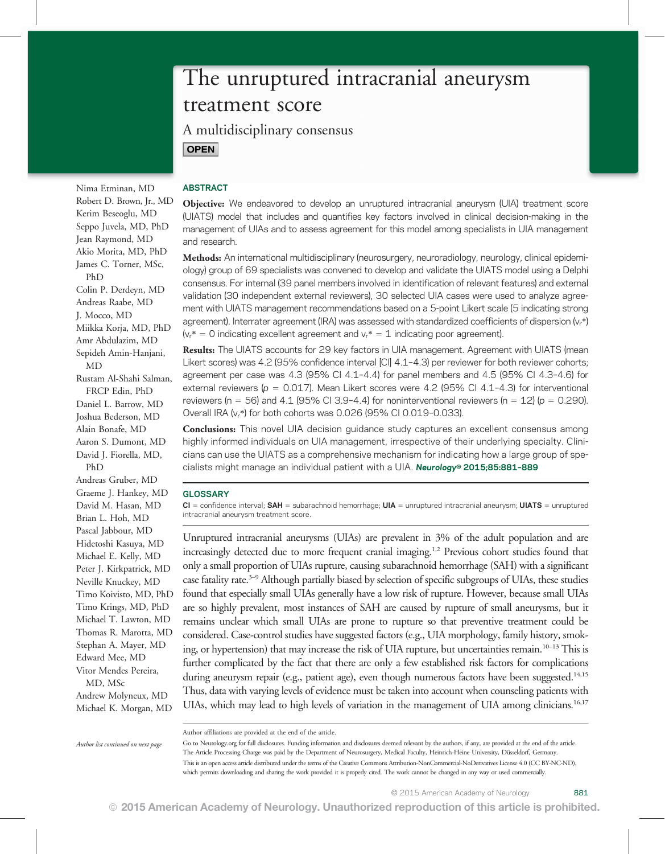# The unruptured intracranial aneurysm treatment score

A multidisciplinary consensus **OPEN** 

ABSTRACT

Objective: We endeavored to develop an unruptured intracranial aneurysm (UIA) treatment score (UIATS) model that includes and quantifies key factors involved in clinical decision-making in the management of UIAs and to assess agreement for this model among specialists in UIA management and research.

Methods: An international multidisciplinary (neurosurgery, neuroradiology, neurology, clinical epidemiology) group of 69 specialists was convened to develop and validate the UIATS model using a Delphi consensus. For internal (39 panel members involved in identification of relevant features) and external validation (30 independent external reviewers), 30 selected UIA cases were used to analyze agreement with UIATS management recommendations based on a 5-point Likert scale (5 indicating strong agreement). Interrater agreement (IRA) was assessed with standardized coefficients of dispersion (v<sub>r</sub>\*)  $(v_r^* = 0$  indicating excellent agreement and  $v_r^* = 1$  indicating poor agreement).

Results: The UIATS accounts for 29 key factors in UIA management. Agreement with UIATS (mean Likert scores) was 4.2 (95% confidence interval [CI] 4.1–4.3) per reviewer for both reviewer cohorts; agreement per case was 4.3 (95% CI 4.1–4.4) for panel members and 4.5 (95% CI 4.3–4.6) for external reviewers ( $p = 0.017$ ). Mean Likert scores were 4.2 (95% CI 4.1-4.3) for interventional reviewers (n = 56) and 4.1 (95% CI 3.9-4.4) for noninterventional reviewers (n = 12) (p = 0.290). Overall IRA (v<sub>r</sub>\*) for both cohorts was 0.026 (95% CI 0.019-0.033).

**Conclusions:** This novel UIA decision quidance study captures an excellent consensus among highly informed individuals on UIA management, irrespective of their underlying specialty. Clinicians can use the UIATS as a comprehensive mechanism for indicating how a large group of specialists might manage an individual patient with a UIA. Neurology® 2015;85:881-889

#### **GLOSSARY**

 $CI =$  confidence interval; SAH = subarachnoid hemorrhage;  $UIA =$  unruptured intracranial aneurysm; UIATS = unruptured intracranial aneurysm treatment score.

Unruptured intracranial aneurysms (UIAs) are prevalent in 3% of the adult population and are increasingly detected due to more frequent cranial imaging.<sup>1,2</sup> Previous cohort studies found that only a small proportion of UIAs rupture, causing subarachnoid hemorrhage (SAH) with a significant case fatality rate.3–<sup>9</sup> Although partially biased by selection of specific subgroups of UIAs, these studies found that especially small UIAs generally have a low risk of rupture. However, because small UIAs are so highly prevalent, most instances of SAH are caused by rupture of small aneurysms, but it remains unclear which small UIAs are prone to rupture so that preventive treatment could be considered. Case-control studies have suggested factors (e.g., UIA morphology, family history, smoking, or hypertension) that may increase the risk of UIA rupture, but uncertainties remain.<sup>10-13</sup> This is further complicated by the fact that there are only a few established risk factors for complications during aneurysm repair (e.g., patient age), even though numerous factors have been suggested.<sup>14,15</sup> Thus, data with varying levels of evidence must be taken into account when counseling patients with UIAs, which may lead to high levels of variation in the management of UIA among clinicians.<sup>16,17</sup>

Go to [Neurology.org](http://neurology.org/lookup/doi/10.1212/WNL.0000000000001891) for full disclosures. Funding information and disclosures deemed relevant by the authors, if any, are provided at the end of the article. The Article Processing Charge was paid by the Department of Neurosurgery, Medical Faculty, Heinrich-Heine University, Düsseldorf, Germany. This is an open access article distributed under the terms of the [Creative Commons Attribution-NonCommercial-NoDerivatives License 4.0 \(CC BY-NC-ND\),](http://creativecommons.org/licenses/by-nc-nd/4.0/) which permits downloading and sharing the work provided it is properly cited. The work cannot be changed in any way or used commercially.

Seppo Juvela, MD, PhD Jean Raymond, MD Akio Morita, MD, PhD James C. Torner, MSc, PhD Colin P. Derdeyn, MD Andreas Raabe, MD J. Mocco, MD Miikka Korja, MD, PhD Amr Abdulazim, MD Sepideh Amin-Hanjani, MD Rustam Al-Shahi Salman, FRCP Edin, PhD Daniel L. Barrow, MD Joshua Bederson, MD Alain Bonafe, MD Aaron S. Dumont, MD David J. Fiorella, MD, PhD Andreas Gruber, MD Graeme J. Hankey, MD David M. Hasan, MD Brian L. Hoh, MD Pascal Jabbour, MD Hidetoshi Kasuya, MD Michael E. Kelly, MD Peter J. Kirkpatrick, MD Neville Knuckey, MD Timo Koivisto, MD, PhD Timo Krings, MD, PhD Michael T. Lawton, MD Thomas R. Marotta, MD Stephan A. Mayer, MD Edward Mee, MD Vitor Mendes Pereira, MD, MSc Andrew Molyneux, MD Michael K. Morgan, MD

Author list continued on next page

Nima Etminan, MD Robert D. Brown, Jr., MD Kerim Beseoglu, MD

Author affiliations are provided at the end of the article.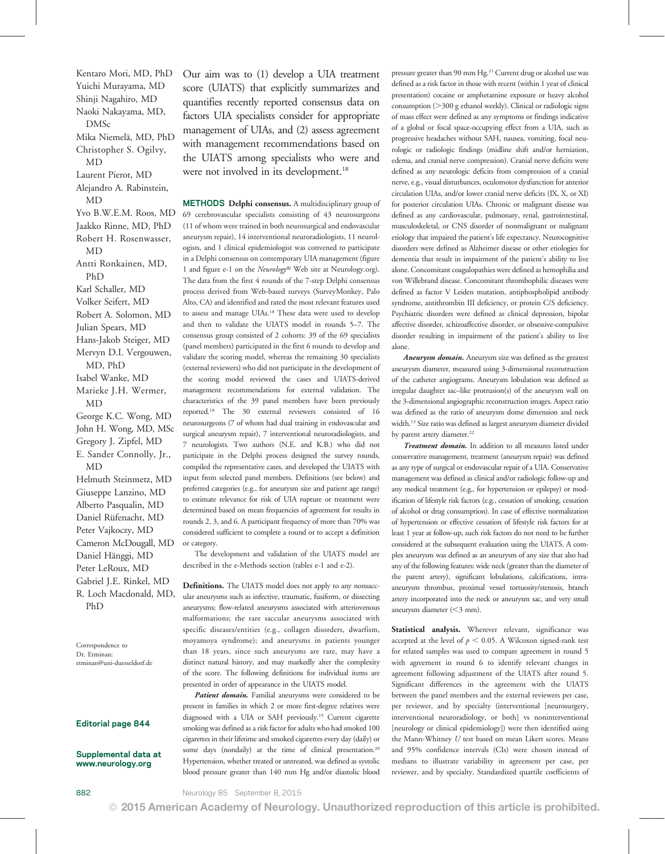Kentaro Mori, MD, PhD Yuichi Murayama, MD Shinji Nagahiro, MD Naoki Nakayama, MD, DMSc Mika Niemelä, MD, PhD Christopher S. Ogilvy, MD Laurent Pierot, MD Alejandro A. Rabinstein, MD Yvo B.W.E.M. Roos, MD Jaakko Rinne, MD, PhD Robert H. Rosenwasser, MD Antti Ronkainen, MD, PhD Karl Schaller, MD Volker Seifert, MD Robert A. Solomon, MD Julian Spears, MD Hans-Jakob Steiger, MD Mervyn D.I. Vergouwen, MD, PhD Isabel Wanke, MD Marieke J.H. Wermer, MD George K.C. Wong, MD John H. Wong, MD, MSc Gregory J. Zipfel, MD E. Sander Connolly, Jr., MD Helmuth Steinmetz, MD Giuseppe Lanzino, MD Alberto Pasqualin, MD Daniel Rüfenacht, MD Peter Vajkoczy, MD Cameron McDougall, MD Daniel Hänggi, MD Peter LeRoux, MD Gabriel J.E. Rinkel, MD R. Loch Macdonald, MD, PhD

Correspondence to Dr. Etminan: [etminan@uni-duesseldorf.de](mailto:etminan@uni-duesseldorf.de)

#### Editorial page 844

#### Supplemental data at [www.neurology.org](http://neurology.org/lookup/doi/10.1212/WNL.0000000000001891)

Our aim was to (1) develop a UIA treatment score (UIATS) that explicitly summarizes and quantifies recently reported consensus data on factors UIA specialists consider for appropriate management of UIAs, and (2) assess agreement with management recommendations based on the UIATS among specialists who were and were not involved in its development.<sup>18</sup>

METHODS Delphi consensus. A multidisciplinary group of 69 cerebrovascular specialists consisting of 43 neurosurgeons (11 of whom were trained in both neurosurgical and endovascular aneurysm repair), 14 interventional neuroradiologists, 11 neurologists, and 1 clinical epidemiologist was convened to participate in a Delphi consensus on contemporary UIA management (figure 1 and figure e-1 on the Neurology® Web site at [Neurology.org\)](http://neurology.org/lookup/doi/10.1212/WNL.0000000000001891). The data from the first 4 rounds of the 7-step Delphi consensus process derived from Web-based surveys (SurveyMonkey, Palo Alto, CA) and identified and rated the most relevant features used to assess and manage UIAs.18 These data were used to develop and then to validate the UIATS model in rounds 5–7. The consensus group consisted of 2 cohorts: 39 of the 69 specialists (panel members) participated in the first 6 rounds to develop and validate the scoring model, whereas the remaining 30 specialists (external reviewers) who did not participate in the development of the scoring model reviewed the cases and UIATS-derived management recommendations for external validation. The characteristics of the 39 panel members have been previously reported.18 The 30 external reviewers consisted of 16 neurosurgeons (7 of whom had dual training in endovascular and surgical aneurysm repair), 7 interventional neuroradiologists, and 7 neurologists. Two authors (N.E. and K.B.) who did not participate in the Delphi process designed the survey rounds, compiled the representative cases, and developed the UIATS with input from selected panel members. Definitions (see below) and preferred categories (e.g., for aneurysm size and patient age range) to estimate relevance for risk of UIA rupture or treatment were determined based on mean frequencies of agreement for results in rounds 2, 3, and 6. A participant frequency of more than 70% was considered sufficient to complete a round or to accept a definition or category.

The development and validation of the UIATS model are described in the e-Methods section (tables e-1 and e-2).

Definitions. The UIATS model does not apply to any nonsaccular aneurysms such as infective, traumatic, fusiform, or dissecting aneurysms; flow-related aneurysms associated with arteriovenous malformations; the rare saccular aneurysms associated with specific diseases/entities (e.g., collagen disorders, dwarfism, moyamoya syndrome); and aneurysms in patients younger than 18 years, since such aneurysms are rare, may have a distinct natural history, and may markedly alter the complexity of the score. The following definitions for individual items are presented in order of appearance in the UIATS model.

Patient domain. Familial aneurysms were considered to be present in families in which 2 or more first-degree relatives were diagnosed with a UIA or SAH previously.19 Current cigarette smoking was defined as a risk factor for adults who had smoked 100 cigarettes in their lifetime and smoked cigarettes every day (daily) or some days (nondaily) at the time of clinical presentation.<sup>20</sup> Hypertension, whether treated or untreated, was defined as systolic blood pressure greater than 140 mm Hg and/or diastolic blood pressure greater than 90 mm Hg.<sup>21</sup> Current drug or alcohol use was defined as a risk factor in those with recent (within 1 year of clinical presentation) cocaine or amphetamine exposure or heavy alcohol consumption (>300 g ethanol weekly). Clinical or radiologic signs of mass effect were defined as any symptoms or findings indicative of a global or focal space-occupying effect from a UIA, such as progressive headaches without SAH, nausea, vomiting, focal neurologic or radiologic findings (midline shift and/or herniation, edema, and cranial nerve compression). Cranial nerve deficits were defined as any neurologic deficits from compression of a cranial nerve, e.g., visual disturbances, oculomotor dysfunction for anterior circulation UIAs, and/or lower cranial nerve deficits (IX, X, or XI) for posterior circulation UIAs. Chronic or malignant disease was defined as any cardiovascular, pulmonary, renal, gastrointestinal, musculoskeletal, or CNS disorder of nonmalignant or malignant etiology that impaired the patient's life expectancy. Neurocognitive disorders were defined as Alzheimer disease or other etiologies for dementia that result in impairment of the patient's ability to live alone. Concomitant coagulopathies were defined as hemophilia and von Willebrand disease. Concomitant thrombophilic diseases were defined as factor V Leiden mutation, antiphospholipid antibody syndrome, antithrombin III deficiency, or protein C/S deficiency. Psychiatric disorders were defined as clinical depression, bipolar affective disorder, schizoaffective disorder, or obsessive-compulsive disorder resulting in impairment of the patient's ability to live alone.

Aneurysm domain. Aneurysm size was defined as the greatest aneurysm diameter, measured using 3-dimensional reconstruction of the catheter angiograms. Aneurysm lobulation was defined as irregular daughter sac–like protrusion(s) of the aneurysm wall on the 3-dimensional angiographic reconstruction images. Aspect ratio was defined as the ratio of aneurysm dome dimension and neck width.13 Size ratio was defined as largest aneurysm diameter divided by parent artery diameter.<sup>22</sup>

Treatment domain. In addition to all measures listed under conservative management, treatment (aneurysm repair) was defined as any type of surgical or endovascular repair of a UIA. Conservative management was defined as clinical and/or radiologic follow-up and any medical treatment (e.g., for hypertension or epilepsy) or modification of lifestyle risk factors (e.g., cessation of smoking, cessation of alcohol or drug consumption). In case of effective normalization of hypertension or effective cessation of lifestyle risk factors for at least 1 year at follow-up, such risk factors do not need to be further considered at the subsequent evaluation using the UIATS. A complex aneurysm was defined as an aneurysm of any size that also had any of the following features: wide neck (greater than the diameter of the parent artery), significant lobulations, calcifications, intraaneurysm thrombus, proximal vessel tortuosity/stenosis, branch artery incorporated into the neck or aneurysm sac, and very small aneurysm diameter  $( $3$  mm).$ 

Statistical analysis. Wherever relevant, significance was accepted at the level of  $p < 0.05$ . A Wilcoxon signed-rank test for related samples was used to compare agreement in round 5 with agreement in round 6 to identify relevant changes in agreement following adjustment of the UIATS after round 5. Significant differences in the agreement with the UIATS between the panel members and the external reviewers per case, per reviewer, and by specialty (interventional [neurosurgery, interventional neuroradiology, or both] vs noninterventional [neurology or clinical epidemiology]) were then identified using the Mann-Whitney U test based on mean Likert scores. Means and 95% confidence intervals (CIs) were chosen instead of medians to illustrate variability in agreement per case, per reviewer, and by specialty. Standardized quartile coefficients of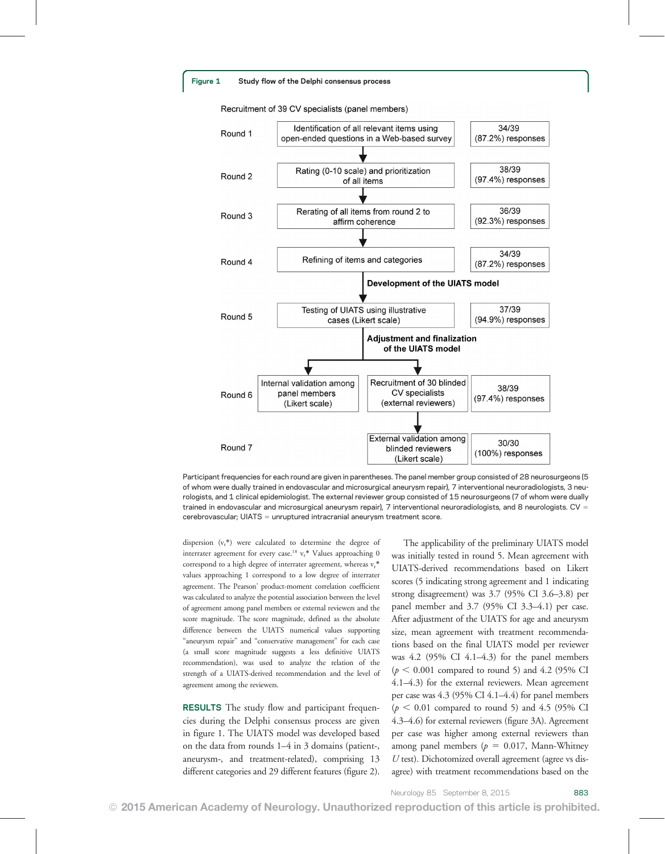Recruitment of 39 CV specialists (panel members)



Participant frequencies for each round are given in parentheses. The panel member group consisted of 28 neurosurgeons (5 of whom were dually trained in endovascular and microsurgical aneurysm repair), 7 interventional neuroradiologists, 3 neurologists, and 1 clinical epidemiologist. The external reviewer group consisted of 15 neurosurgeons (7 of whom were dually trained in endovascular and microsurgical aneurysm repair), 7 interventional neuroradiologists, and 8 neurologists. CV =  $c$ erebrovascular; UIATS = unruptured intracranial aneurysm treatment score.

dispersion  $(v_r^*)$  were calculated to determine the degree of interrater agreement for every case.<sup>18</sup>  $v_r^*$  Values approaching 0 correspond to a high degree of interrater agreement, whereas v<sub>r</sub>\* values approaching 1 correspond to a low degree of interrater agreement. The Pearson' product-moment correlation coefficient was calculated to analyze the potential association between the level of agreement among panel members or external reviewers and the score magnitude. The score magnitude, defined as the absolute difference between the UIATS numerical values supporting "aneurysm repair" and "conservative management" for each case (a small score magnitude suggests a less definitive UIATS recommendation), was used to analyze the relation of the strength of a UIATS-derived recommendation and the level of agreement among the reviewers.

RESULTS The study flow and participant frequencies during the Delphi consensus process are given in figure 1. The UIATS model was developed based on the data from rounds 1–4 in 3 domains (patient-, aneurysm-, and treatment-related), comprising 13 different categories and 29 different features (figure 2).

The applicability of the preliminary UIATS model was initially tested in round 5. Mean agreement with UIATS-derived recommendations based on Likert scores (5 indicating strong agreement and 1 indicating strong disagreement) was 3.7 (95% CI 3.6–3.8) per panel member and 3.7 (95% CI 3.3–4.1) per case. After adjustment of the UIATS for age and aneurysm size, mean agreement with treatment recommendations based on the final UIATS model per reviewer was 4.2 (95% CI 4.1–4.3) for the panel members  $(p < 0.001$  compared to round 5) and 4.2 (95% CI 4.1–4.3) for the external reviewers. Mean agreement per case was 4.3 (95% CI 4.1–4.4) for panel members  $(p < 0.01$  compared to round 5) and 4.5 (95% CI 4.3–4.6) for external reviewers (figure 3A). Agreement per case was higher among external reviewers than among panel members ( $p = 0.017$ , Mann-Whitney U test). Dichotomized overall agreement (agree vs disagree) with treatment recommendations based on the

Neurology 85 September 8, 2015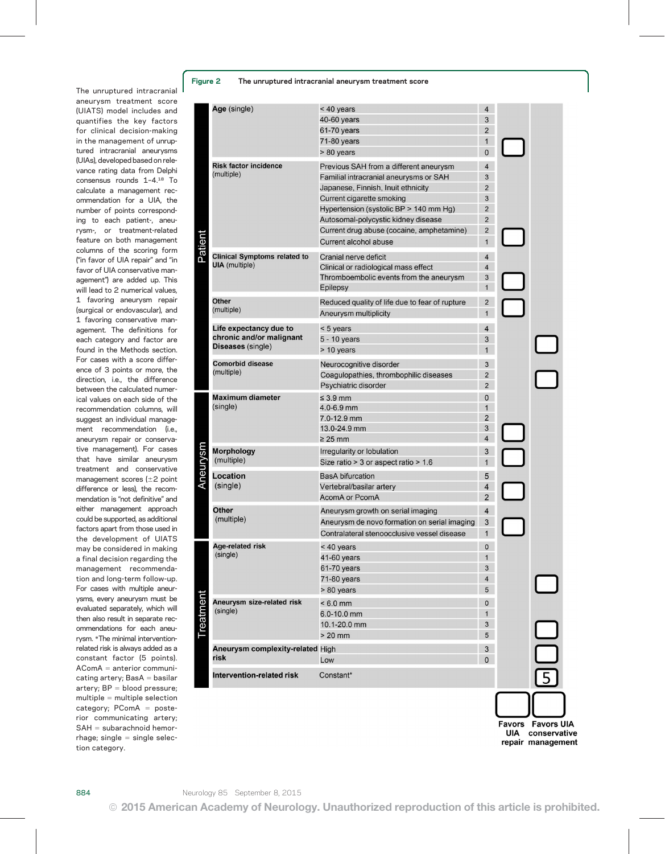### Figure 2 The unruptured intracranial aneurysm treatment score

The unruptured intracranial aneurysm treatment score (UIATS) model includes and quantifies the key factors for clinical decision-making in the management of unruptured intracranial aneurysms (UIAs), developed based on relevance rating data from Delphi consensus rounds 1–4.18 To calculate a management recommendation for a UIA, the number of points corresponding to each patient-, aneurysm-, or treatment-related feature on both management columns of the scoring form ("in favor of UIA repair" and "in favor of UIA conservative management") are added up. This will lead to 2 numerical values, 1 favoring aneurysm repair (surgical or endovascular), and 1 favoring conservative management. The definitions for each category and factor are found in the Methods section. For cases with a score difference of 3 points or more, the direction, i.e., the difference between the calculated numerical values on each side of the recommendation columns, will suggest an individual management recommendation (i.e., aneurysm repair or conservative management). For cases that have similar aneurysm treatment and conservative management scores  $(\pm 2$  point difference or less), the recommendation is "not definitive" and either management approach could be supported, as additional factors apart from those used in the development of UIATS may be considered in making a final decision regarding the management recommendation and long-term follow-up. For cases with multiple aneurysms, every aneurysm must be evaluated separately, which will then also result in separate recommendations for each aneurysm. \*The minimal interventionrelated risk is always added as a constant factor (5 points).  $AComA =$  anterior communicating artery;  $BasA = basilar$ artery;  $BP = blood pressure;$  $multiple = multiple selection$ category;  $PComA = poste$ rior communicating artery;  $SAH = subarachnoid$  hemor $r$ hage; single = single selection category.

|                | Age (single)                                                            | < 40 years                                                                                                                                                                                                                                                                                                   | 4                                                                                                                  |        |  |
|----------------|-------------------------------------------------------------------------|--------------------------------------------------------------------------------------------------------------------------------------------------------------------------------------------------------------------------------------------------------------------------------------------------------------|--------------------------------------------------------------------------------------------------------------------|--------|--|
|                |                                                                         | 40-60 years                                                                                                                                                                                                                                                                                                  | 3                                                                                                                  |        |  |
|                |                                                                         | 61-70 years<br>71-80 years                                                                                                                                                                                                                                                                                   | $\overline{2}$<br>1                                                                                                |        |  |
|                |                                                                         | > 80 years                                                                                                                                                                                                                                                                                                   | $\Omega$                                                                                                           |        |  |
| lllelle        | <b>Risk factor incidence</b><br>(multiple)                              | Previous SAH from a different aneurysm<br>Familial intracranial aneurysms or SAH<br>Japanese, Finnish, Inuit ethnicity<br>Current cigarette smoking<br>Hypertension (systolic $BP > 140$ mm Hg)<br>Autosomal-polycystic kidney disease<br>Current drug abuse (cocaine, amphetamine)<br>Current alcohol abuse | $\overline{4}$<br>3<br>$\overline{2}$<br>3<br>$\overline{2}$<br>$\overline{2}$<br>$\overline{2}$<br>$\overline{1}$ |        |  |
|                | <b>Clinical Symptoms related to</b><br><b>UIA</b> (multiple)            | Cranial nerve deficit<br>Clinical or radiological mass effect<br>Thromboembolic events from the aneurysm<br>Epilepsy                                                                                                                                                                                         | $\overline{\mathcal{L}}$<br>$\overline{4}$<br>3<br>$\mathbf{1}$                                                    |        |  |
|                | Other<br>(multiple)                                                     | Reduced quality of life due to fear of rupture<br>Aneurysm multiplicity                                                                                                                                                                                                                                      | $\overline{\mathbf{c}}$<br>$\overline{1}$                                                                          |        |  |
|                | Life expectancy due to<br>chronic and/or malignant<br>Diseases (single) | $< 5$ years<br>$5 - 10$ years<br>> 10 years                                                                                                                                                                                                                                                                  | 4<br>3<br>$\mathbf{1}$                                                                                             |        |  |
|                | <b>Comorbid disease</b><br>(multiple)                                   | Neurocognitive disorder<br>Coagulopathies, thrombophilic diseases<br>Psychiatric disorder                                                                                                                                                                                                                    | 3<br>$\overline{2}$<br>$\overline{2}$                                                                              | ب<br>ص |  |
|                | <b>Maximum diameter</b><br>(single)                                     | $\leq$ 3.9 mm<br>4.0-6.9 mm<br>7.0-12.9 mm<br>13.0-24.9 mm<br>$\geq$ 25 mm                                                                                                                                                                                                                                   | 0<br>1<br>$\overline{2}$<br>3<br>4                                                                                 |        |  |
| <b>IRAINAI</b> | <b>Morphology</b><br>(multiple)                                         | Irregularity or lobulation<br>Size ratio > 3 or aspect ratio > 1.6                                                                                                                                                                                                                                           | 3<br>$\mathbf{1}$                                                                                                  |        |  |
|                | <b>Location</b><br>(single)                                             | <b>BasA bifurcation</b><br>Vertebral/basilar artery<br><b>AcomA or PcomA</b>                                                                                                                                                                                                                                 | 5<br>4<br>$\overline{2}$                                                                                           |        |  |
|                | Other<br>(multiple)                                                     | Aneurysm growth on serial imaging<br>Aneurysm de novo formation on serial imaging<br>Contralateral stenoocclusive vessel disease                                                                                                                                                                             | 4<br>3<br>$\overline{1}$                                                                                           |        |  |
|                | Age-related risk<br>(single)                                            | < 40 years<br>41-60 years<br>61-70 years<br>71-80 years<br>> 80 years                                                                                                                                                                                                                                        | 0<br>$\mathbf{1}$<br>3<br>4<br>5                                                                                   |        |  |
| ı rəarınaən    | Aneurysm size-related risk<br>(single)                                  | $< 6.0$ mm<br>6.0-10.0 mm<br>10.1-20.0 mm<br>$> 20$ mm                                                                                                                                                                                                                                                       | 0<br>$\mathbf{1}$<br>3<br>5                                                                                        |        |  |
|                | Aneurysm complexity-related High<br>risk                                | Low                                                                                                                                                                                                                                                                                                          | 3<br>0                                                                                                             | OO     |  |
|                | Intervention-related risk                                               | Constant*                                                                                                                                                                                                                                                                                                    |                                                                                                                    |        |  |
|                |                                                                         |                                                                                                                                                                                                                                                                                                              |                                                                                                                    |        |  |

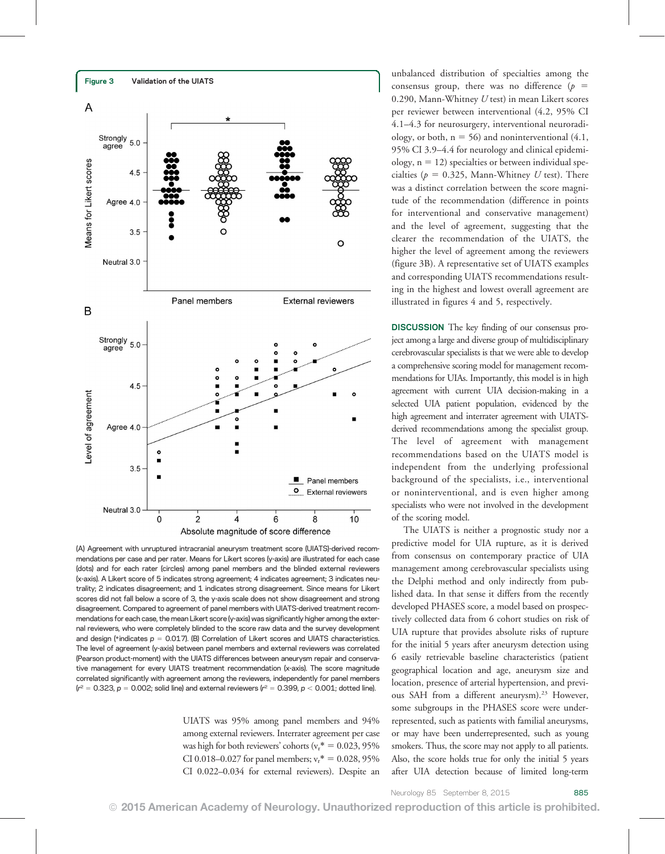

(A) Agreement with unruptured intracranial aneurysm treatment score (UIATS)-derived recommendations per case and per rater. Means for Likert scores (y-axis) are illustrated for each case (dots) and for each rater (circles) among panel members and the blinded external reviewers (x-axis). A Likert score of 5 indicates strong agreement; 4 indicates agreement; 3 indicates neutrality; 2 indicates disagreement; and 1 indicates strong disagreement. Since means for Likert scores did not fall below a score of 3, the y-axis scale does not show disagreement and strong disagreement. Compared to agreement of panel members with UIATS-derived treatment recommendations for each case, the mean Likert score (y-axis) was significantly higher among the external reviewers, who were completely blinded to the score raw data and the survey development and design (\*indicates  $p = 0.017$ ). (B) Correlation of Likert scores and UIATS characteristics. The level of agreement (y-axis) between panel members and external reviewers was correlated (Pearson product-moment) with the UIATS differences between aneurysm repair and conservative management for every UIATS treatment recommendation (x-axis). The score magnitude correlated significantly with agreement among the reviewers, independently for panel members  $(r^2 = 0.323, p = 0.002$ ; solid line) and external reviewers  $(r^2 = 0.399, p < 0.001$ ; dotted line).

UIATS was 95% among panel members and 94% among external reviewers. Interrater agreement per case was high for both reviewers' cohorts ( $v_r^* = 0.023, 95\%$ CI 0.018–0.027 for panel members;  $v_r^* = 0.028, 95\%$ CI 0.022–0.034 for external reviewers). Despite an

unbalanced distribution of specialties among the consensus group, there was no difference ( $p =$ 0.290, Mann-Whitney  $U$  test) in mean Likert scores per reviewer between interventional (4.2, 95% CI 4.1–4.3 for neurosurgery, interventional neuroradiology, or both,  $n = 56$ ) and noninterventional (4.1, 95% CI 3.9–4.4 for neurology and clinical epidemiology,  $n = 12$ ) specialties or between individual specialties ( $p = 0.325$ , Mann-Whitney U test). There was a distinct correlation between the score magnitude of the recommendation (difference in points for interventional and conservative management) and the level of agreement, suggesting that the clearer the recommendation of the UIATS, the higher the level of agreement among the reviewers (figure 3B). A representative set of UIATS examples and corresponding UIATS recommendations resulting in the highest and lowest overall agreement are illustrated in figures 4 and 5, respectively.

DISCUSSION The key finding of our consensus project among a large and diverse group of multidisciplinary cerebrovascular specialists is that we were able to develop a comprehensive scoring model for management recommendations for UIAs. Importantly, this model is in high agreement with current UIA decision-making in a selected UIA patient population, evidenced by the high agreement and interrater agreement with UIATSderived recommendations among the specialist group. The level of agreement with management recommendations based on the UIATS model is independent from the underlying professional background of the specialists, i.e., interventional or noninterventional, and is even higher among specialists who were not involved in the development of the scoring model.

The UIATS is neither a prognostic study nor a predictive model for UIA rupture, as it is derived from consensus on contemporary practice of UIA management among cerebrovascular specialists using the Delphi method and only indirectly from published data. In that sense it differs from the recently developed PHASES score, a model based on prospectively collected data from 6 cohort studies on risk of UIA rupture that provides absolute risks of rupture for the initial 5 years after aneurysm detection using 6 easily retrievable baseline characteristics (patient geographical location and age, aneurysm size and location, presence of arterial hypertension, and previous SAH from a different aneurysm).<sup>23</sup> However, some subgroups in the PHASES score were underrepresented, such as patients with familial aneurysms, or may have been underrepresented, such as young smokers. Thus, the score may not apply to all patients. Also, the score holds true for only the initial 5 years after UIA detection because of limited long-term

Neurology 85 September 8, 2015 885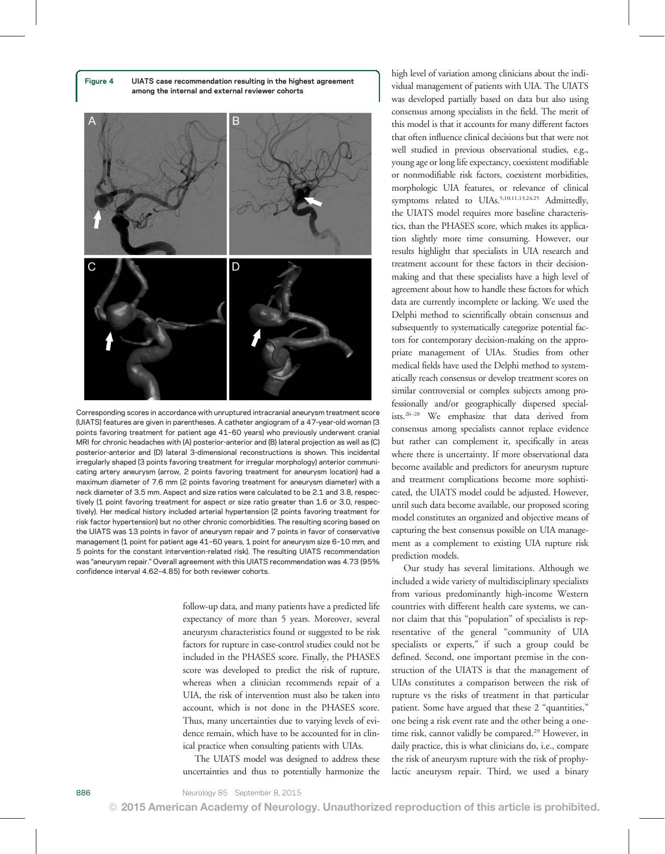Figure 4 UIATS case recommendation resulting in the highest agreement among the internal and external reviewer cohorts



Corresponding scores in accordance with unruptured intracranial aneurysm treatment score (UIATS) features are given in parentheses. A catheter angiogram of a 47-year-old woman (3 points favoring treatment for patient age 41–60 years) who previously underwent cranial MRI for chronic headaches with (A) posterior-anterior and (B) lateral projection as well as (C) posterior-anterior and (D) lateral 3-dimensional reconstructions is shown. This incidental irregularly shaped (3 points favoring treatment for irregular morphology) anterior communicating artery aneurysm (arrow, 2 points favoring treatment for aneurysm location) had a maximum diameter of 7.6 mm (2 points favoring treatment for aneurysm diameter) with a neck diameter of 3.5 mm. Aspect and size ratios were calculated to be 2.1 and 3.8, respectively (1 point favoring treatment for aspect or size ratio greater than 1.6 or 3.0, respectively). Her medical history included arterial hypertension (2 points favoring treatment for risk factor hypertension) but no other chronic comorbidities. The resulting scoring based on the UIATS was 13 points in favor of aneurysm repair and 7 points in favor of conservative management (1 point for patient age 41–60 years, 1 point for aneurysm size 6–10 mm, and 5 points for the constant intervention-related risk). The resulting UIATS recommendation was "aneurysm repair." Overall agreement with this UIATS recommendation was 4.73 (95% confidence interval 4.62–4.85) for both reviewer cohorts.

follow-up data, and many patients have a predicted life expectancy of more than 5 years. Moreover, several aneurysm characteristics found or suggested to be risk factors for rupture in case-control studies could not be included in the PHASES score. Finally, the PHASES score was developed to predict the risk of rupture, whereas when a clinician recommends repair of a UIA, the risk of intervention must also be taken into account, which is not done in the PHASES score. Thus, many uncertainties due to varying levels of evidence remain, which have to be accounted for in clinical practice when consulting patients with UIAs.

The UIATS model was designed to address these uncertainties and thus to potentially harmonize the

high level of variation among clinicians about the individual management of patients with UIA. The UIATS was developed partially based on data but also using consensus among specialists in the field. The merit of this model is that it accounts for many different factors that often influence clinical decisions but that were not well studied in previous observational studies, e.g., young age or long life expectancy, coexistent modifiable or nonmodifiable risk factors, coexistent morbidities, morphologic UIA features, or relevance of clinical symptoms related to UIAs.<sup>5,10,11,13,24,25</sup> Admittedly, the UIATS model requires more baseline characteristics, than the PHASES score, which makes its application slightly more time consuming. However, our results highlight that specialists in UIA research and treatment account for these factors in their decisionmaking and that these specialists have a high level of agreement about how to handle these factors for which data are currently incomplete or lacking. We used the Delphi method to scientifically obtain consensus and subsequently to systematically categorize potential factors for contemporary decision-making on the appropriate management of UIAs. Studies from other medical fields have used the Delphi method to systematically reach consensus or develop treatment scores on similar controversial or complex subjects among professionally and/or geographically dispersed specialists.26–<sup>28</sup> We emphasize that data derived from consensus among specialists cannot replace evidence but rather can complement it, specifically in areas where there is uncertainty. If more observational data become available and predictors for aneurysm rupture and treatment complications become more sophisticated, the UIATS model could be adjusted. However, until such data become available, our proposed scoring model constitutes an organized and objective means of capturing the best consensus possible on UIA management as a complement to existing UIA rupture risk prediction models.

Our study has several limitations. Although we included a wide variety of multidisciplinary specialists from various predominantly high-income Western countries with different health care systems, we cannot claim that this "population" of specialists is representative of the general "community of UIA specialists or experts," if such a group could be defined. Second, one important premise in the construction of the UIATS is that the management of UIAs constitutes a comparison between the risk of rupture vs the risks of treatment in that particular patient. Some have argued that these 2 "quantities," one being a risk event rate and the other being a onetime risk, cannot validly be compared.<sup>29</sup> However, in daily practice, this is what clinicians do, i.e., compare the risk of aneurysm rupture with the risk of prophylactic aneurysm repair. Third, we used a binary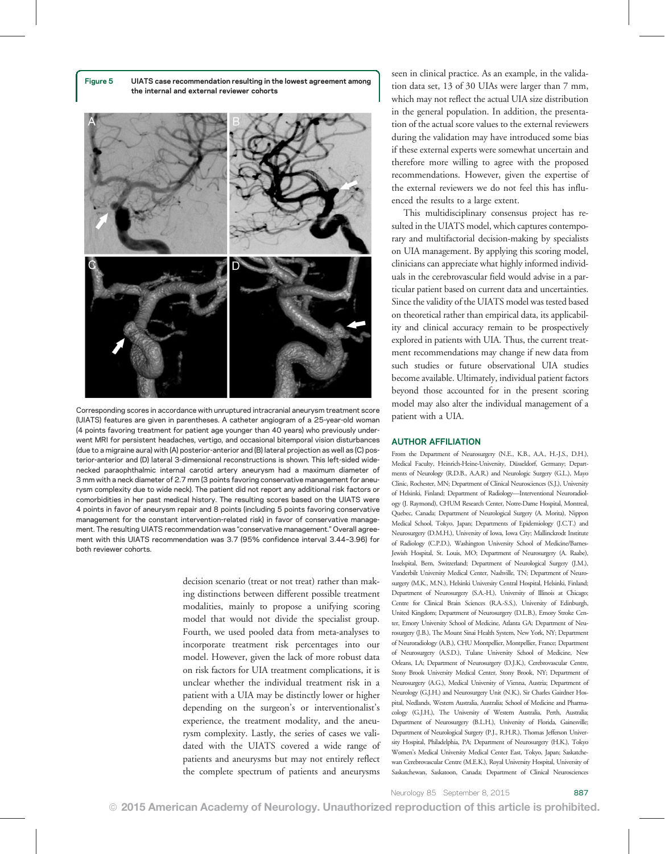Figure 5 UIATS case recommendation resulting in the lowest agreement among the internal and external reviewer cohorts



Corresponding scores in accordance with unruptured intracranial aneurysm treatment score (UIATS) features are given in parentheses. A catheter angiogram of a 25-year-old woman (4 points favoring treatment for patient age younger than 40 years) who previously underwent MRI for persistent headaches, vertigo, and occasional bitemporal vision disturbances (due to a migraine aura) with (A) posterior-anterior and (B) lateral projection as well as (C) posterior-anterior and (D) lateral 3-dimensional reconstructions is shown. This left-sided widenecked paraophthalmic internal carotid artery aneurysm had a maximum diameter of 3 mm with a neck diameter of 2.7 mm (3 points favoring conservative management for aneurysm complexity due to wide neck). The patient did not report any additional risk factors or comorbidities in her past medical history. The resulting scores based on the UIATS were 4 points in favor of aneurysm repair and 8 points (including 5 points favoring conservative management for the constant intervention-related risk) in favor of conservative management. The resulting UIATS recommendation was "conservative management." Overall agreement with this UIATS recommendation was 3.7 (95% confidence interval 3.44–3.96) for both reviewer cohorts.

decision scenario (treat or not treat) rather than making distinctions between different possible treatment modalities, mainly to propose a unifying scoring model that would not divide the specialist group. Fourth, we used pooled data from meta-analyses to incorporate treatment risk percentages into our model. However, given the lack of more robust data on risk factors for UIA treatment complications, it is unclear whether the individual treatment risk in a patient with a UIA may be distinctly lower or higher depending on the surgeon's or interventionalist's experience, the treatment modality, and the aneurysm complexity. Lastly, the series of cases we validated with the UIATS covered a wide range of patients and aneurysms but may not entirely reflect the complete spectrum of patients and aneurysms

seen in clinical practice. As an example, in the validation data set, 13 of 30 UIAs were larger than 7 mm, which may not reflect the actual UIA size distribution in the general population. In addition, the presentation of the actual score values to the external reviewers during the validation may have introduced some bias if these external experts were somewhat uncertain and therefore more willing to agree with the proposed recommendations. However, given the expertise of the external reviewers we do not feel this has influenced the results to a large extent.

This multidisciplinary consensus project has resulted in the UIATS model, which captures contemporary and multifactorial decision-making by specialists on UIA management. By applying this scoring model, clinicians can appreciate what highly informed individuals in the cerebrovascular field would advise in a particular patient based on current data and uncertainties. Since the validity of the UIATS model was tested based on theoretical rather than empirical data, its applicability and clinical accuracy remain to be prospectively explored in patients with UIA. Thus, the current treatment recommendations may change if new data from such studies or future observational UIA studies become available. Ultimately, individual patient factors beyond those accounted for in the present scoring model may also alter the individual management of a patient with a UIA.

#### AUTHOR AFFILIATION

From the Department of Neurosurgery (N.E., K.B., A.A., H.-J.S., D.H.), Medical Faculty, Heinrich-Heine-University, Düsseldorf, Germany; Departments of Neurology (R.D.B., A.A.R.) and Neurologic Surgery (G.L.), Mayo Clinic, Rochester, MN; Department of Clinical Neurosciences (S.J.), University of Helsinki, Finland; Department of Radiology—Interventional Neuroradiology (J. Raymond), CHUM Research Center, Notre-Dame Hospital, Montreal, Quebec, Canada; Department of Neurological Surgery (A. Morita), Nippon Medical School, Tokyo, Japan; Departments of Epidemiology (J.C.T.) and Neurosurgery (D.M.H.), University of Iowa, Iowa City; Mallinckrodt Institute of Radiology (C.P.D.), Washington University School of Medicine/Barnes-Jewish Hospital, St. Louis, MO; Department of Neurosurgery (A. Raabe), Inselspital, Bern, Switzerland; Department of Neurological Surgery (J.M.), Vanderbilt University Medical Center, Nashville, TN; Department of Neurosurgery (M.K., M.N.), Helsinki University Central Hospital, Helsinki, Finland; Department of Neurosurgery (S.A.-H.), University of Illinois at Chicago; Centre for Clinical Brain Sciences (R.A.-S.S.), University of Edinburgh, United Kingdom; Department of Neurosurgery (D.L.B.), Emory Stroke Center, Emory University School of Medicine, Atlanta GA; Department of Neurosurgery (J.B.), The Mount Sinai Health System, New York, NY; Department of Neuroradiology (A.B.), CHU Montpellier, Montpellier, France; Department of Neurosurgery (A.S.D.), Tulane University School of Medicine, New Orleans, LA; Department of Neurosurgery (D.J.K.), Cerebrovascular Centre, Stony Brook University Medical Center, Stony Brook, NY; Department of Neurosurgery (A.G.), Medical University of Vienna, Austria; Department of Neurology (G.J.H.) and Neurosurgery Unit (N.K.), Sir Charles Gairdner Hospital, Nedlands, Western Australia, Australia; School of Medicine and Pharmacology (G.J.H.), The University of Western Australia, Perth, Australia; Department of Neurosurgery (B.L.H.), University of Florida, Gainesville; Department of Neurological Surgery (P.J., R.H.R.), Thomas Jefferson University Hospital, Philadelphia, PA; Department of Neurosurgery (H.K.), Tokyo Women's Medical University Medical Center East, Tokyo, Japan; Saskatchewan Cerebrovascular Centre (M.E.K.), Royal University Hospital, University of Saskatchewan, Saskatoon, Canada; Department of Clinical Neurosciences

Neurology 85 September 8, 2015 887